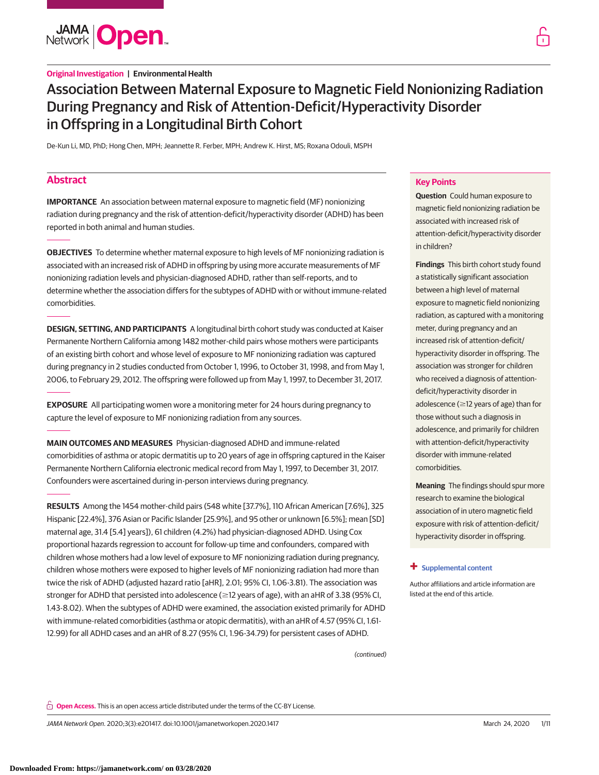

# **Original Investigation | Environmental Health**

# Association Between Maternal Exposure to Magnetic Field Nonionizing Radiation During Pregnancy and Risk of Attention-Deficit/Hyperactivity Disorder in Offspring in a Longitudinal Birth Cohort

De-Kun Li, MD, PhD; Hong Chen, MPH; Jeannette R. Ferber, MPH; Andrew K. Hirst, MS; Roxana Odouli, MSPH

# **Abstract**

**IMPORTANCE** An association between maternal exposure to magnetic field (MF) nonionizing radiation during pregnancy and the risk of attention-deficit/hyperactivity disorder (ADHD) has been reported in both animal and human studies.

**OBJECTIVES** To determine whether maternal exposure to high levels of MF nonionizing radiation is associated with an increased risk of ADHD in offspring by using more accurate measurements of MF nonionizing radiation levels and physician-diagnosed ADHD, rather than self-reports, and to determine whether the association differs for the subtypes of ADHD with or without immune-related comorbidities.

**DESIGN, SETTING, AND PARTICIPANTS** A longitudinal birth cohort study was conducted at Kaiser Permanente Northern California among 1482 mother-child pairs whose mothers were participants of an existing birth cohort and whose level of exposure to MF nonionizing radiation was captured during pregnancy in 2 studies conducted from October 1, 1996, to October 31, 1998, and from May 1, 2006, to February 29, 2012. The offspring were followed up from May 1, 1997, to December 31, 2017.

**EXPOSURE** All participating women wore a monitoring meter for 24 hours during pregnancy to capture the level of exposure to MF nonionizing radiation from any sources.

**MAIN OUTCOMES AND MEASURES** Physician-diagnosed ADHD and immune-related comorbidities of asthma or atopic dermatitis up to 20 years of age in offspring captured in the Kaiser Permanente Northern California electronic medical record from May 1, 1997, to December 31, 2017. Confounders were ascertained during in-person interviews during pregnancy.

**RESULTS** Among the 1454 mother-child pairs (548 white [37.7%], 110 African American [7.6%], 325 Hispanic [22.4%], 376 Asian or Pacific Islander [25.9%], and 95 other or unknown [6.5%]; mean [SD] maternal age, 31.4 [5.4] years]), 61 children (4.2%) had physician-diagnosed ADHD. Using Cox proportional hazards regression to account for follow-up time and confounders, compared with children whose mothers had a low level of exposure to MF nonionizing radiation during pregnancy, children whose mothers were exposed to higher levels of MF nonionizing radiation had more than twice the risk of ADHD (adjusted hazard ratio [aHR], 2.01; 95% CI, 1.06-3.81). The association was stronger for ADHD that persisted into adolescence (≥12 years of age), with an aHR of 3.38 (95% CI, 1.43-8.02). When the subtypes of ADHD were examined, the association existed primarily for ADHD with immune-related comorbidities (asthma or atopic dermatitis), with an aHR of 4.57 (95% CI, 1.61- 12.99) for all ADHD cases and an aHR of 8.27 (95% CI, 1.96-34.79) for persistent cases of ADHD.

# **Key Points**

**Question** Could human exposure to magnetic field nonionizing radiation be associated with increased risk of attention-deficit/hyperactivity disorder in children?

**Findings** This birth cohort study found a statistically significant association between a high level of maternal exposure to magnetic field nonionizing radiation, as captured with a monitoring meter, during pregnancy and an increased risk of attention-deficit/ hyperactivity disorder in offspring. The association was stronger for children who received a diagnosis of attentiondeficit/hyperactivity disorder in adolescence ( $\geq$ 12 years of age) than for those without such a diagnosis in adolescence, and primarily for children with attention-deficit/hyperactivity disorder with immune-related comorbidities.

**Meaning** The findings should spur more research to examine the biological association of in utero magnetic field exposure with risk of attention-deficit/ hyperactivity disorder in offspring.

# **+ [Supplemental content](https://jama.jamanetwork.com/article.aspx?doi=10.1001/jamanetworkopen.2020.1417&utm_campaign=articlePDF%26utm_medium=articlePDFlink%26utm_source=articlePDF%26utm_content=jamanetworkopen.2020.1417)**

Author affiliations and article information are listed at the end of this article.

(continued)

**Open Access.** This is an open access article distributed under the terms of the CC-BY License.

JAMA Network Open. 2020;3(3):e201417. doi:10.1001/jamanetworkopen.2020.1417 (Reprinted) March 24, 2020 1/11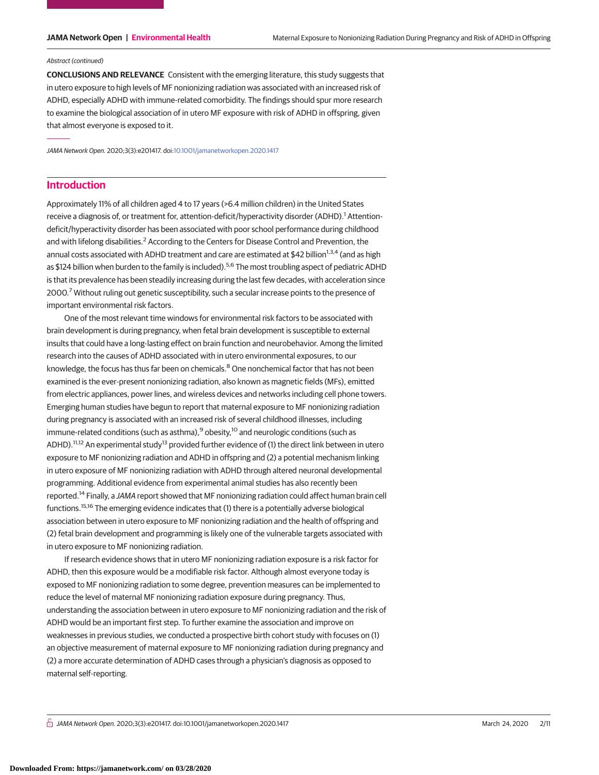### Abstract (continued)

**CONCLUSIONS AND RELEVANCE** Consistent with the emerging literature, this study suggests that in utero exposure to high levels of MF nonionizing radiation was associated with an increased risk of ADHD, especially ADHD with immune-related comorbidity. The findings should spur more research to examine the biological association of in utero MF exposure with risk of ADHD in offspring, given that almost everyone is exposed to it.

JAMA Network Open. 2020;3(3):e201417. doi[:10.1001/jamanetworkopen.2020.1417](https://jama.jamanetwork.com/article.aspx?doi=10.1001/jamanetworkopen.2020.1417&utm_campaign=articlePDF%26utm_medium=articlePDFlink%26utm_source=articlePDF%26utm_content=jamanetworkopen.2020.1417)

# **Introduction**

Approximately 11% of all children aged 4 to 17 years (>6.4 million children) in the United States receive a diagnosis of, or treatment for, attention-deficit/hyperactivity disorder (ADHD).<sup>1</sup> Attentiondeficit/hyperactivity disorder has been associated with poor school performance during childhood and with lifelong disabilities.<sup>2</sup> According to the Centers for Disease Control and Prevention, the annual costs associated with ADHD treatment and care are estimated at \$42 billion<sup>1,3,4</sup> (and as high as \$124 billion when burden to the family is included).<sup>5,6</sup> The most troubling aspect of pediatric ADHD is that its prevalence has been steadily increasing during the last few decades, with acceleration since 2000.<sup>7</sup> Without ruling out genetic susceptibility, such a secular increase points to the presence of important environmental risk factors.

One of the most relevant time windows for environmental risk factors to be associated with brain development is during pregnancy, when fetal brain development is susceptible to external insults that could have a long-lasting effect on brain function and neurobehavior. Among the limited research into the causes of ADHD associated with in utero environmental exposures, to our knowledge, the focus has thus far been on chemicals.<sup>8</sup> One nonchemical factor that has not been examined is the ever-present nonionizing radiation, also known as magnetic fields (MFs), emitted from electric appliances, power lines, and wireless devices and networks including cell phone towers. Emerging human studies have begun to report that maternal exposure to MF nonionizing radiation during pregnancy is associated with an increased risk of several childhood illnesses, including immune-related conditions (such as asthma), $9$  obesity, $10$  and neurologic conditions (such as ADHD).<sup>11,12</sup> An experimental study<sup>13</sup> provided further evidence of (1) the direct link between in utero exposure to MF nonionizing radiation and ADHD in offspring and (2) a potential mechanism linking in utero exposure of MF nonionizing radiation with ADHD through altered neuronal developmental programming. Additional evidence from experimental animal studies has also recently been reported.<sup>14</sup> Finally, a JAMA report showed that MF nonionizing radiation could affect human brain cell functions.15,16 The emerging evidence indicates that (1) there is a potentially adverse biological association between in utero exposure to MF nonionizing radiation and the health of offspring and (2) fetal brain development and programming is likely one of the vulnerable targets associated with in utero exposure to MF nonionizing radiation.

If research evidence shows that in utero MF nonionizing radiation exposure is a risk factor for ADHD, then this exposure would be a modifiable risk factor. Although almost everyone today is exposed to MF nonionizing radiation to some degree, prevention measures can be implemented to reduce the level of maternal MF nonionizing radiation exposure during pregnancy. Thus, understanding the association between in utero exposure to MF nonionizing radiation and the risk of ADHD would be an important first step. To further examine the association and improve on weaknesses in previous studies, we conducted a prospective birth cohort study with focuses on (1) an objective measurement of maternal exposure to MF nonionizing radiation during pregnancy and (2) a more accurate determination of ADHD cases through a physician's diagnosis as opposed to maternal self-reporting.

 $\stackrel{\frown}{\Pi}$  JAMA Network Open. 2020;3(3):e201417. doi:10.1001/jamanetworkopen.2020.1417 (Reprinted) March 24, 2020 2/11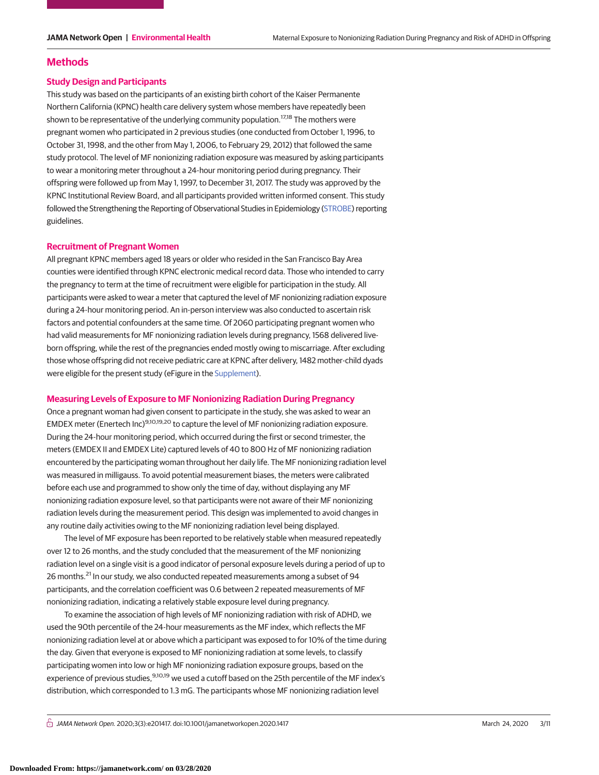# **Methods**

# **Study Design and Participants**

This study was based on the participants of an existing birth cohort of the Kaiser Permanente Northern California (KPNC) health care delivery system whose members have repeatedly been shown to be representative of the underlying community population.<sup>17,18</sup> The mothers were pregnant women who participated in 2 previous studies (one conducted from October 1, 1996, to October 31, 1998, and the other from May 1, 2006, to February 29, 2012) that followed the same study protocol. The level of MF nonionizing radiation exposure was measured by asking participants to wear a monitoring meter throughout a 24-hour monitoring period during pregnancy. Their offspring were followed up from May 1, 1997, to December 31, 2017. The study was approved by the KPNC Institutional Review Board, and all participants provided written informed consent. This study followed the Strengthening the Reporting of Observational Studies in Epidemiology [\(STROBE\)](https://www.equator-network.org/reporting-guidelines/strobe/) reporting guidelines.

# **Recruitment of Pregnant Women**

All pregnant KPNC members aged 18 years or older who resided in the San Francisco Bay Area counties were identified through KPNC electronic medical record data. Those who intended to carry the pregnancy to term at the time of recruitment were eligible for participation in the study. All participants were asked to wear a meter that captured the level of MF nonionizing radiation exposure during a 24-hour monitoring period. An in-person interview was also conducted to ascertain risk factors and potential confounders at the same time. Of 2060 participating pregnant women who had valid measurements for MF nonionizing radiation levels during pregnancy, 1568 delivered liveborn offspring, while the rest of the pregnancies ended mostly owing to miscarriage. After excluding those whose offspring did not receive pediatric care at KPNC after delivery, 1482 mother-child dyads were eligible for the present study (eFigure in the [Supplement\)](https://jama.jamanetwork.com/article.aspx?doi=10.1001/jamanetworkopen.2020.1417&utm_campaign=articlePDF%26utm_medium=articlePDFlink%26utm_source=articlePDF%26utm_content=jamanetworkopen.2020.1417).

# **Measuring Levels of Exposure to MF Nonionizing Radiation During Pregnancy**

Once a pregnant woman had given consent to participate in the study, she was asked to wear an EMDEX meter (Enertech Inc)9,10,19,20 to capture the level of MF nonionizing radiation exposure. During the 24-hour monitoring period, which occurred during the first or second trimester, the meters (EMDEX II and EMDEX Lite) captured levels of 40 to 800 Hz of MF nonionizing radiation encountered by the participating woman throughout her daily life. The MF nonionizing radiation level was measured in milligauss. To avoid potential measurement biases, the meters were calibrated before each use and programmed to show only the time of day, without displaying any MF nonionizing radiation exposure level, so that participants were not aware of their MF nonionizing radiation levels during the measurement period. This design was implemented to avoid changes in any routine daily activities owing to the MF nonionizing radiation level being displayed.

The level of MF exposure has been reported to be relatively stable when measured repeatedly over 12 to 26 months, and the study concluded that the measurement of the MF nonionizing radiation level on a single visit is a good indicator of personal exposure levels during a period of up to 26 months.<sup>21</sup> In our study, we also conducted repeated measurements among a subset of 94 participants, and the correlation coefficient was 0.6 between 2 repeated measurements of MF nonionizing radiation, indicating a relatively stable exposure level during pregnancy.

To examine the association of high levels of MF nonionizing radiation with risk of ADHD, we used the 90th percentile of the 24-hour measurements as the MF index, which reflects the MF nonionizing radiation level at or above which a participant was exposed to for 10% of the time during the day. Given that everyone is exposed to MF nonionizing radiation at some levels, to classify participating women into low or high MF nonionizing radiation exposure groups, based on the experience of previous studies, 9,10,19 we used a cutoff based on the 25th percentile of the MF index's distribution, which corresponded to 1.3 mG. The participants whose MF nonionizing radiation level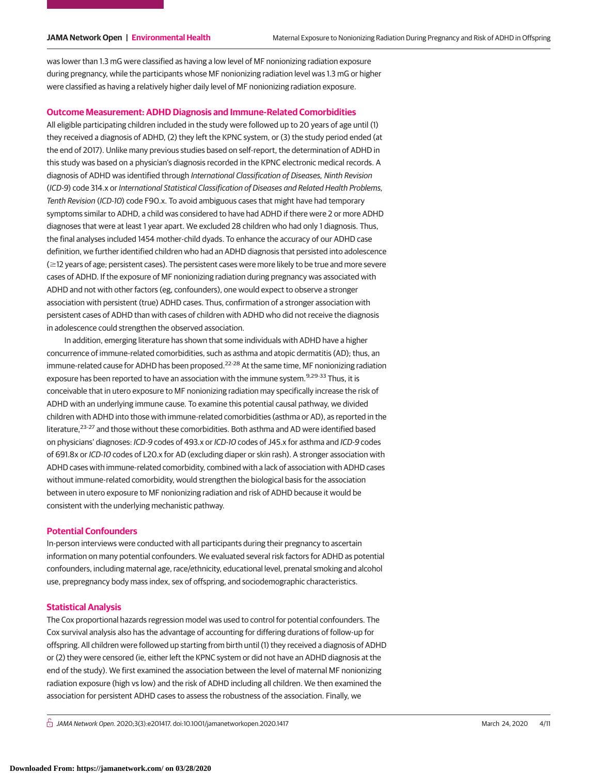was lower than 1.3 mG were classified as having a low level of MF nonionizing radiation exposure during pregnancy, while the participants whose MF nonionizing radiation level was 1.3 mG or higher were classified as having a relatively higher daily level of MF nonionizing radiation exposure.

# **Outcome Measurement: ADHD Diagnosis and Immune-Related Comorbidities**

All eligible participating children included in the study were followed up to 20 years of age until (1) they received a diagnosis of ADHD, (2) they left the KPNC system, or (3) the study period ended (at the end of 2017). Unlike many previous studies based on self-report, the determination of ADHD in this study was based on a physician's diagnosis recorded in the KPNC electronic medical records. A diagnosis of ADHD was identified through International Classification of Diseases, Ninth Revision (ICD-9) code 314.x or International Statistical Classification of Diseases and Related Health Problems, Tenth Revision (ICD-10) code F90.x. To avoid ambiguous cases that might have had temporary symptoms similar to ADHD, a child was considered to have had ADHD if there were 2 or more ADHD diagnoses that were at least 1 year apart. We excluded 28 children who had only 1 diagnosis. Thus, the final analyses included 1454 mother-child dyads. To enhance the accuracy of our ADHD case definition, we further identified children who had an ADHD diagnosis that persisted into adolescence  $(\geq$ 12 years of age; persistent cases). The persistent cases were more likely to be true and more severe cases of ADHD. If the exposure of MF nonionizing radiation during pregnancy was associated with ADHD and not with other factors (eg, confounders), one would expect to observe a stronger association with persistent (true) ADHD cases. Thus, confirmation of a stronger association with persistent cases of ADHD than with cases of children with ADHD who did not receive the diagnosis in adolescence could strengthen the observed association.

In addition, emerging literature has shown that some individuals with ADHD have a higher concurrence of immune-related comorbidities, such as asthma and atopic dermatitis (AD); thus, an immune-related cause for ADHD has been proposed.<sup>22-28</sup> At the same time, MF nonionizing radiation exposure has been reported to have an association with the immune system.<sup>9,29-33</sup> Thus, it is conceivable that in utero exposure to MF nonionizing radiation may specifically increase the risk of ADHD with an underlying immune cause. To examine this potential causal pathway, we divided children with ADHD into those with immune-related comorbidities (asthma or AD), as reported in the literature,<sup>23-27</sup> and those without these comorbidities. Both asthma and AD were identified based on physicians' diagnoses: ICD-9 codes of 493.x or ICD-10 codes of J45.x for asthma and ICD-9 codes of 691.8x or ICD-10 codes of L20.x for AD (excluding diaper or skin rash). A stronger association with ADHD cases with immune-related comorbidity, combined with a lack of association with ADHD cases without immune-related comorbidity, would strengthen the biological basis for the association between in utero exposure to MF nonionizing radiation and risk of ADHD because it would be consistent with the underlying mechanistic pathway.

# **Potential Confounders**

In-person interviews were conducted with all participants during their pregnancy to ascertain information on many potential confounders. We evaluated several risk factors for ADHD as potential confounders, including maternal age, race/ethnicity, educational level, prenatal smoking and alcohol use, prepregnancy body mass index, sex of offspring, and sociodemographic characteristics.

### **Statistical Analysis**

The Cox proportional hazards regression model was used to control for potential confounders. The Cox survival analysis also has the advantage of accounting for differing durations of follow-up for offspring. All children were followed up starting from birth until (1) they received a diagnosis of ADHD or (2) they were censored (ie, either left the KPNC system or did not have an ADHD diagnosis at the end of the study). We first examined the association between the level of maternal MF nonionizing radiation exposure (high vs low) and the risk of ADHD including all children. We then examined the association for persistent ADHD cases to assess the robustness of the association. Finally, we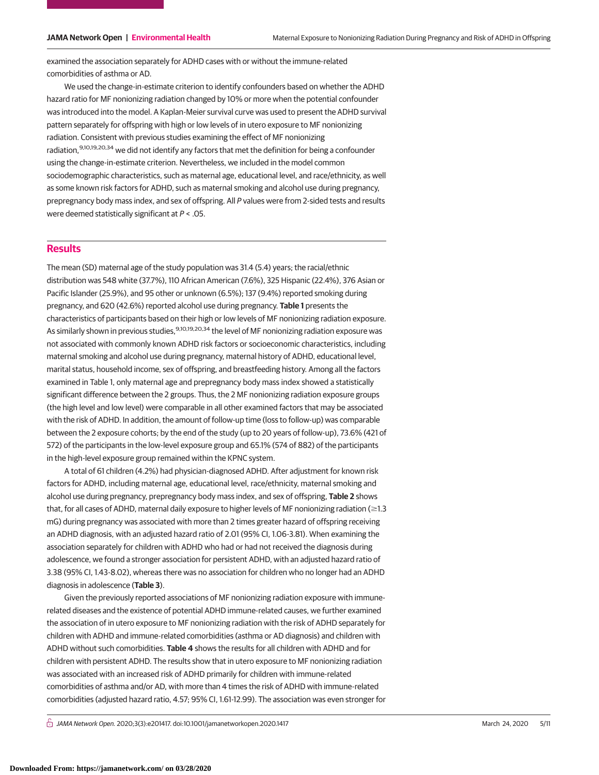examined the association separately for ADHD cases with or without the immune-related comorbidities of asthma or AD.

We used the change-in-estimate criterion to identify confounders based on whether the ADHD hazard ratio for MF nonionizing radiation changed by 10% or more when the potential confounder was introduced into the model. A Kaplan-Meier survival curve was used to present the ADHD survival pattern separately for offspring with high or low levels of in utero exposure to MF nonionizing radiation. Consistent with previous studies examining the effect of MF nonionizing radiation,<sup>9,10,19,20,34</sup> we did not identify any factors that met the definition for being a confounder using the change-in-estimate criterion. Nevertheless, we included in the model common sociodemographic characteristics, such as maternal age, educational level, and race/ethnicity, as well as some known risk factors for ADHD, such as maternal smoking and alcohol use during pregnancy, prepregnancy body mass index, and sex of offspring. All P values were from 2-sided tests and results were deemed statistically significant at  $P < .05$ .

# **Results**

The mean (SD) maternal age of the study population was 31.4 (5.4) years; the racial/ethnic distribution was 548 white (37.7%), 110 African American (7.6%), 325 Hispanic (22.4%), 376 Asian or Pacific Islander (25.9%), and 95 other or unknown (6.5%); 137 (9.4%) reported smoking during pregnancy, and 620 (42.6%) reported alcohol use during pregnancy. **Table 1** presents the characteristics of participants based on their high or low levels of MF nonionizing radiation exposure. As similarly shown in previous studies.<sup>9,10,19,20,34</sup> the level of MF nonionizing radiation exposure was not associated with commonly known ADHD risk factors or socioeconomic characteristics, including maternal smoking and alcohol use during pregnancy, maternal history of ADHD, educational level, marital status, household income, sex of offspring, and breastfeeding history. Among all the factors examined in Table 1, only maternal age and prepregnancy body mass index showed a statistically significant difference between the 2 groups. Thus, the 2 MF nonionizing radiation exposure groups (the high level and low level) were comparable in all other examined factors that may be associated with the risk of ADHD. In addition, the amount of follow-up time (loss to follow-up) was comparable between the 2 exposure cohorts; by the end of the study (up to 20 years of follow-up), 73.6% (421 of 572) of the participants in the low-level exposure group and 65.1% (574 of 882) of the participants in the high-level exposure group remained within the KPNC system.

A total of 61 children (4.2%) had physician-diagnosed ADHD. After adjustment for known risk factors for ADHD, including maternal age, educational level, race/ethnicity, maternal smoking and alcohol use during pregnancy, prepregnancy body mass index, and sex of offspring, **Table 2** shows that, for all cases of ADHD, maternal daily exposure to higher levels of MF nonionizing radiation ( $\geq$ 1.3 mG) during pregnancy was associated with more than 2 times greater hazard of offspring receiving an ADHD diagnosis, with an adjusted hazard ratio of 2.01 (95% CI, 1.06-3.81). When examining the association separately for children with ADHD who had or had not received the diagnosis during adolescence, we found a stronger association for persistent ADHD, with an adjusted hazard ratio of 3.38 (95% CI, 1.43-8.02), whereas there was no association for children who no longer had an ADHD diagnosis in adolescence (**Table 3**).

Given the previously reported associations of MF nonionizing radiation exposure with immunerelated diseases and the existence of potential ADHD immune-related causes, we further examined the association of in utero exposure to MF nonionizing radiation with the risk of ADHD separately for children with ADHD and immune-related comorbidities (asthma or AD diagnosis) and children with ADHD without such comorbidities. **Table 4** shows the results for all children with ADHD and for children with persistent ADHD. The results show that in utero exposure to MF nonionizing radiation was associated with an increased risk of ADHD primarily for children with immune-related comorbidities of asthma and/or AD, with more than 4 times the risk of ADHD with immune-related comorbidities (adjusted hazard ratio, 4.57; 95% CI, 1.61-12.99). The association was even stronger for

 $\bigcap$  JAMA Network Open. 2020;3(3):e201417. doi:10.1001/jamanetworkopen.2020.1417 (Although 24, 2020 5/11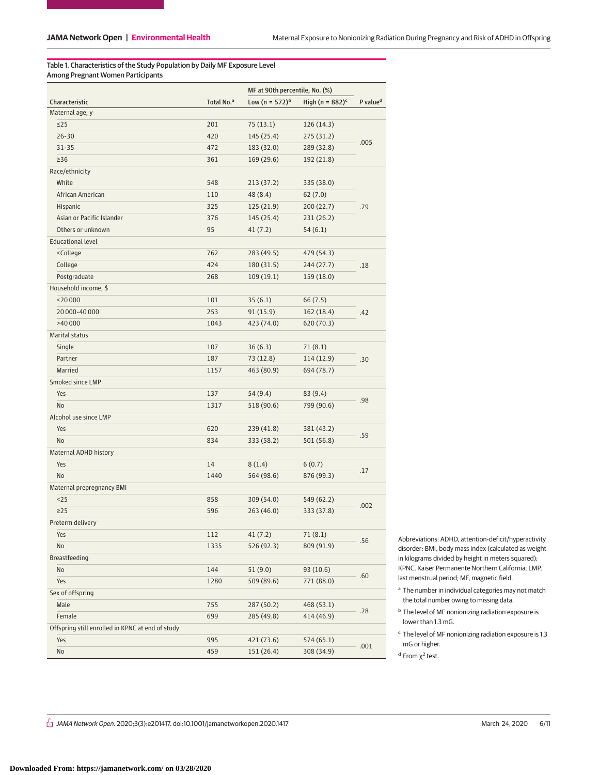Table 1. Characteristics of the Study Population by Daily MF Exposure Level Among Pregnant Women Participants

|                                                                                        |                        | MF at 90th percentile, No. (%) |                                |                      |  |
|----------------------------------------------------------------------------------------|------------------------|--------------------------------|--------------------------------|----------------------|--|
| Characteristic                                                                         | Total No. <sup>a</sup> | Low (n = $572$ ) <sup>b</sup>  | High (n = $882$ ) <sup>c</sup> | P value <sup>d</sup> |  |
| Maternal age, y                                                                        |                        |                                |                                |                      |  |
| $\leq$ 25                                                                              | 201                    | 75 (13.1)                      | 126 (14.3)                     | .005                 |  |
| $26 - 30$                                                                              | 420                    | 145 (25.4)                     | 275 (31.2)                     |                      |  |
| $31 - 35$                                                                              | 472                    | 183 (32.0)                     | 289 (32.8)                     |                      |  |
| $\geq$ 36                                                                              | 361                    | 169 (29.6)                     | 192 (21.8)                     |                      |  |
| Race/ethnicity                                                                         |                        |                                |                                |                      |  |
| White                                                                                  | 548                    | 213 (37.2)                     | 335 (38.0)                     |                      |  |
| African American                                                                       | 110                    | 48 (8.4)                       | 62(7.0)                        | .79                  |  |
| Hispanic                                                                               | 325                    | 125 (21.9)                     | 200(22.7)                      |                      |  |
| Asian or Pacific Islander                                                              | 376                    | 145 (25.4)                     | 231 (26.2)                     |                      |  |
| Others or unknown                                                                      | 95                     | 41 (7.2)                       | 54 (6.1)                       |                      |  |
| <b>Educational level</b>                                                               |                        |                                |                                |                      |  |
| <college< td=""><td>762</td><td>283 (49.5)</td><td>479 (54.3)</td><td></td></college<> | 762                    | 283 (49.5)                     | 479 (54.3)                     |                      |  |
| College                                                                                | 424                    | 180 (31.5)                     | 244 (27.7)                     | .18                  |  |
| Postgraduate                                                                           | 268                    | 109(19.1)                      | 159 (18.0)                     |                      |  |
| Household income, \$                                                                   |                        |                                |                                |                      |  |
| $<$ 20 000                                                                             | 101                    | 35(6.1)                        | 66 (7.5)                       |                      |  |
| 20 000-40 000                                                                          | 253                    | 91 (15.9)                      | 162 (18.4)                     | .42                  |  |
| >40 000                                                                                | 1043                   | 423 (74.0)                     | 620 (70.3)                     |                      |  |
| <b>Marital status</b>                                                                  |                        |                                |                                |                      |  |
| Single                                                                                 | 107                    | 36(6.3)                        | 71(8.1)                        |                      |  |
| Partner                                                                                | 187                    | 73 (12.8)                      | 114 (12.9)                     | .30                  |  |
| Married                                                                                | 1157                   | 463 (80.9)                     | 694 (78.7)                     |                      |  |
| Smoked since LMP                                                                       |                        |                                |                                |                      |  |
| Yes                                                                                    | 137                    | 54 (9.4)                       | 83(9.4)                        |                      |  |
| No                                                                                     | 1317                   | 518 (90.6)                     | 799 (90.6)                     | .98                  |  |
| Alcohol use since LMP                                                                  |                        |                                |                                |                      |  |
| Yes                                                                                    | 620                    | 239 (41.8)                     | 381 (43.2)                     |                      |  |
| No                                                                                     | 834                    | 333 (58.2)                     | 501 (56.8)                     | .59                  |  |
| Maternal ADHD history                                                                  |                        |                                |                                |                      |  |
| Yes                                                                                    | 14                     | 8(1.4)                         | 6(0.7)                         |                      |  |
| No                                                                                     | 1440                   | 564 (98.6)                     | 876 (99.3)                     | .17                  |  |
| Maternal prepregnancy BMI                                                              |                        |                                |                                |                      |  |
| $25$                                                                                   | 858                    | 309 (54.0)                     | 549 (62.2)                     | .002                 |  |
| $\geq$ 25                                                                              | 596                    | 263 (46.0)                     | 333 (37.8)                     |                      |  |
| Preterm delivery                                                                       |                        |                                |                                |                      |  |
| Yes                                                                                    | 112                    | 41(7.2)                        | 71(8.1)                        | .56                  |  |
| No                                                                                     | 1335                   | 526 (92.3)                     | 809 (91.9)                     |                      |  |
| Breastfeeding                                                                          |                        |                                |                                |                      |  |
| No                                                                                     | 144                    | 51(9.0)                        | 93(10.6)                       | .60                  |  |
| Yes                                                                                    | 1280                   | 509 (89.6)                     | 771 (88.0)                     |                      |  |
| Sex of offspring                                                                       |                        |                                |                                |                      |  |
| Male                                                                                   | 755                    | 287 (50.2)                     | 468 (53.1)                     |                      |  |
| Female                                                                                 | 699                    | 285 (49.8)                     | 414 (46.9)                     | .28                  |  |
| Offspring still enrolled in KPNC at end of study                                       |                        |                                |                                |                      |  |
| Yes                                                                                    | 995                    | 421 (73.6)                     | 574 (65.1)                     |                      |  |
| No                                                                                     | 459                    | 151 (26.4)                     | 308 (34.9)                     | .001                 |  |

Abbreviations: ADHD, attention-deficit/hyperactivity disorder; BMI, body mass index (calculated as weight in kilograms divided by height in meters squared); KPNC, Kaiser Permanente Northern California; LMP, last menstrual period; MF, magnetic field.

- <sup>b</sup> The level of MF nonionizing radiation exposure is lower than 1.3 mG.
- $\rm ^c$  The level of MF nonionizing radiation exposure is 1.3 mG or higher.

<sup>d</sup> From  $χ²$  test.

 $\hat{E}$  JAMA Network Open. 2020;3(3):e201417. doi:10.1001/jamanetworkopen.2020.1417 (Reprinted) March 24, 2020 6/11

<sup>&</sup>lt;sup>a</sup> The number in individual categories may not match the total number owing to missing data.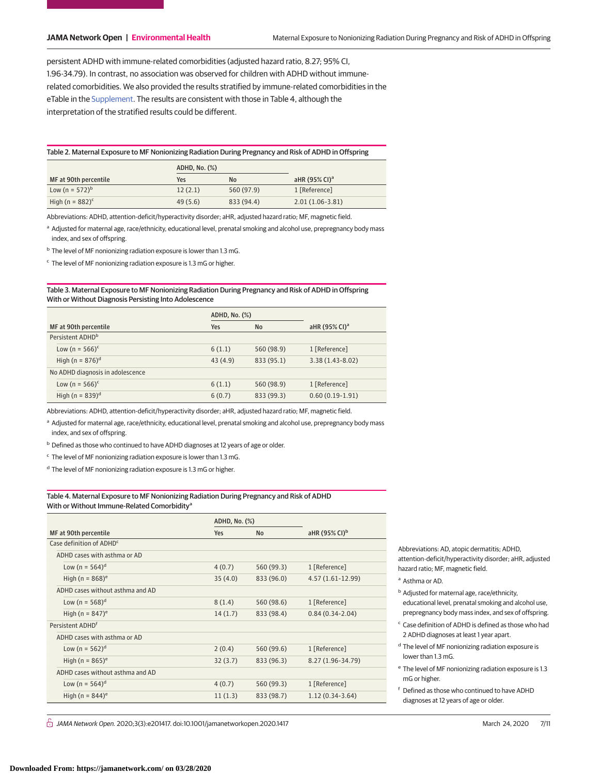persistent ADHD with immune-related comorbidities (adjusted hazard ratio, 8.27; 95% CI, 1.96-34.79). In contrast, no association was observed for children with ADHD without immunerelated comorbidities. We also provided the results stratified by immune-related comorbidities in the eTable in the [Supplement.](https://jama.jamanetwork.com/article.aspx?doi=10.1001/jamanetworkopen.2020.1417&utm_campaign=articlePDF%26utm_medium=articlePDFlink%26utm_source=articlePDF%26utm_content=jamanetworkopen.2020.1417) The results are consistent with those in Table 4, although the interpretation of the stratified results could be different.

| Table 2. Maternal Exposure to MF Nonionizing Radiation During Pregnancy and Risk of ADHD in Offspring |  |  |
|-------------------------------------------------------------------------------------------------------|--|--|
|                                                                                                       |  |  |
|                                                                                                       |  |  |
|                                                                                                       |  |  |

|                                | ADHD, No. (%) |            |                              |
|--------------------------------|---------------|------------|------------------------------|
| MF at 90th percentile          | Yes           | <b>No</b>  | aHR $(95\%$ CI) <sup>a</sup> |
| Low (n = $572$ ) <sup>b</sup>  | 12(2.1)       | 560 (97.9) | 1 [Reference]                |
| High (n = $882$ ) <sup>c</sup> | 49(5.6)       | 833 (94.4) | $2.01(1.06-3.81)$            |

Abbreviations: ADHD, attention-deficit/hyperactivity disorder; aHR, adjusted hazard ratio; MF, magnetic field.

a Adjusted for maternal age, race/ethnicity, educational level, prenatal smoking and alcohol use, prepregnancy body mass index, and sex of offspring.

<sup>b</sup> The level of MF nonionizing radiation exposure is lower than 1.3 mG.

<sup>c</sup> The level of MF nonionizing radiation exposure is 1.3 mG or higher.

# Table 3. Maternal Exposure to MF Nonionizing Radiation During Pregnancy and Risk of ADHD in Offspring With or Without Diagnosis Persisting Into Adolescence

|                                  | ADHD, No. (%) |            |                              |
|----------------------------------|---------------|------------|------------------------------|
| MF at 90th percentile            | Yes           | No         | aHR $(95\%$ CI) <sup>a</sup> |
| Persistent ADHD <sup>b</sup>     |               |            |                              |
| Low (n = $566$ ) <sup>c</sup>    | 6(1.1)        | 560 (98.9) | 1 [Reference]                |
| High (n = $876$ ) <sup>d</sup>   | 43(4.9)       | 833 (95.1) | $3.38(1.43-8.02)$            |
| No ADHD diagnosis in adolescence |               |            |                              |
| Low (n = $566$ ) <sup>c</sup>    | 6(1.1)        | 560 (98.9) | 1 [Reference]                |
| High (n = $839$ ) <sup>d</sup>   | 6(0.7)        | 833 (99.3) | $0.60(0.19-1.91)$            |

Abbreviations: ADHD, attention-deficit/hyperactivity disorder; aHR, adjusted hazard ratio; MF, magnetic field.

a Adjusted for maternal age, race/ethnicity, educational level, prenatal smoking and alcohol use, prepregnancy body mass index, and sex of offspring.

<sup>b</sup> Defined as those who continued to have ADHD diagnoses at 12 years of age or older.

<sup>c</sup> The level of MF nonionizing radiation exposure is lower than 1.3 mG.

<sup>d</sup> The level of MF nonionizing radiation exposure is 1.3 mG or higher.

# Table 4. Maternal Exposure to MF Nonionizing Radiation During Pregnancy and Risk of ADHD With or Without Immune-Related Comorbidity<sup>a</sup>

|                                      | ADHD, No. (%) |            |                           |
|--------------------------------------|---------------|------------|---------------------------|
| MF at 90th percentile                | Yes           | <b>No</b>  | aHR (95% CI) <sup>b</sup> |
| Case definition of ADHD <sup>c</sup> |               |            |                           |
| ADHD cases with asthma or AD         |               |            |                           |
| Low (n = $564$ ) <sup>d</sup>        | 4(0.7)        | 560 (99.3) | 1 [Reference]             |
| High (n = $868$ ) <sup>e</sup>       | 35(4.0)       | 833 (96.0) | 4.57 (1.61-12.99)         |
| ADHD cases without asthma and AD     |               |            |                           |
| Low (n = $568$ ) <sup>d</sup>        | 8(1.4)        | 560 (98.6) | 1 [Reference]             |
| High (n = $847$ ) <sup>e</sup>       | 14(1.7)       | 833 (98.4) | $0.84(0.34-2.04)$         |
| Persistent ADHD <sup>f</sup>         |               |            |                           |
| ADHD cases with asthma or AD         |               |            |                           |
| Low (n = $562$ ) <sup>d</sup>        | 2(0.4)        | 560 (99.6) | 1 [Reference]             |
| High (n = $865$ ) <sup>e</sup>       | 32(3.7)       | 833 (96.3) | 8.27 (1.96-34.79)         |
| ADHD cases without asthma and AD     |               |            |                           |
| Low (n = $564$ ) <sup>d</sup>        | 4(0.7)        | 560 (99.3) | 1 [Reference]             |
| High (n = $844$ ) <sup>e</sup>       | 11(1.3)       | 833 (98.7) | $1.12(0.34-3.64)$         |

Abbreviations: AD, atopic dermatitis; ADHD, attention-deficit/hyperactivity disorder; aHR, adjusted hazard ratio; MF, magnetic field.

<sup>a</sup> Asthma or AD.

**b** Adjusted for maternal age, race/ethnicity, educational level, prenatal smoking and alcohol use, prepregnancy body mass index, and sex of offspring.

<sup>c</sup> Case definition of ADHD is defined as those who had 2 ADHD diagnoses at least 1 year apart.

<sup>d</sup> The level of MF nonionizing radiation exposure is lower than 1.3 mG.

<sup>e</sup> The level of MF nonionizing radiation exposure is 1.3 mG or higher.

<sup>f</sup> Defined as those who continued to have ADHD diagnoses at 12 years of age or older.

 $\bigcap$  JAMA Network Open. 2020;3(3):e201417. doi:10.1001/jamanetworkopen.2020.1417 (Reprinted) March 24, 2020 7/11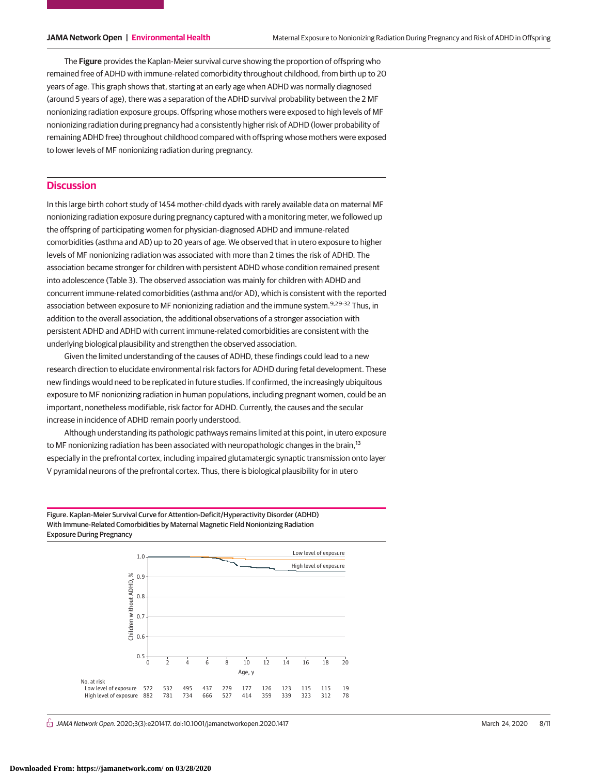The **Figure** provides the Kaplan-Meier survival curve showing the proportion of offspring who remained free of ADHD with immune-related comorbidity throughout childhood, from birth up to 20 years of age. This graph shows that, starting at an early age when ADHD was normally diagnosed (around 5 years of age), there was a separation of the ADHD survival probability between the 2 MF nonionizing radiation exposure groups. Offspring whose mothers were exposed to high levels of MF nonionizing radiation during pregnancy had a consistently higher risk of ADHD (lower probability of remaining ADHD free) throughout childhood compared with offspring whose mothers were exposed to lower levels of MF nonionizing radiation during pregnancy.

# **Discussion**

In this large birth cohort study of 1454 mother-child dyads with rarely available data on maternal MF nonionizing radiation exposure during pregnancy captured with a monitoring meter, we followed up the offspring of participating women for physician-diagnosed ADHD and immune-related comorbidities (asthma and AD) up to 20 years of age. We observed that in utero exposure to higher levels of MF nonionizing radiation was associated with more than 2 times the risk of ADHD. The association became stronger for children with persistent ADHD whose condition remained present into adolescence (Table 3). The observed association was mainly for children with ADHD and concurrent immune-related comorbidities (asthma and/or AD), which is consistent with the reported association between exposure to MF nonionizing radiation and the immune system.<sup>9,29-32</sup> Thus, in addition to the overall association, the additional observations of a stronger association with persistent ADHD and ADHD with current immune-related comorbidities are consistent with the underlying biological plausibility and strengthen the observed association.

Given the limited understanding of the causes of ADHD, these findings could lead to a new research direction to elucidate environmental risk factors for ADHD during fetal development. These new findings would need to be replicated in future studies. If confirmed, the increasingly ubiquitous exposure to MF nonionizing radiation in human populations, including pregnant women, could be an important, nonetheless modifiable, risk factor for ADHD. Currently, the causes and the secular increase in incidence of ADHD remain poorly understood.

Although understanding its pathologic pathways remains limited at this point, in utero exposure to MF nonionizing radiation has been associated with neuropathologic changes in the brain,<sup>13</sup> especially in the prefrontal cortex, including impaired glutamatergic synaptic transmission onto layer V pyramidal neurons of the prefrontal cortex. Thus, there is biological plausibility for in utero

Figure. Kaplan-Meier Survival Curve for Attention-Deficit/Hyperactivity Disorder (ADHD) With Immune-Related Comorbidities by Maternal Magnetic Field Nonionizing Radiation Exposure During Pregnancy



 $\stackrel{\frown}{\Pi}$  JAMA Network Open. 2020;3(3):e201417. doi:10.1001/jamanetworkopen.2020.1417 (Reprinted) March 24, 2020 8/11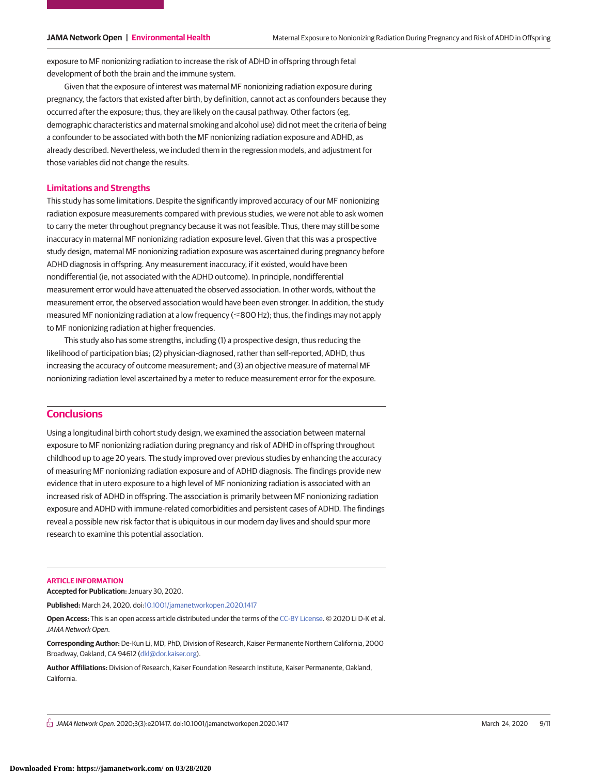exposure to MF nonionizing radiation to increase the risk of ADHD in offspring through fetal development of both the brain and the immune system.

Given that the exposure of interest was maternal MF nonionizing radiation exposure during pregnancy, the factors that existed after birth, by definition, cannot act as confounders because they occurred after the exposure; thus, they are likely on the causal pathway. Other factors (eg, demographic characteristics and maternal smoking and alcohol use) did not meet the criteria of being a confounder to be associated with both the MF nonionizing radiation exposure and ADHD, as already described. Nevertheless, we included them in the regression models, and adjustment for those variables did not change the results.

# **Limitations and Strengths**

This study has some limitations. Despite the significantly improved accuracy of our MF nonionizing radiation exposure measurements compared with previous studies, we were not able to ask women to carry the meter throughout pregnancy because it was not feasible. Thus, there may still be some inaccuracy in maternal MF nonionizing radiation exposure level. Given that this was a prospective study design, maternal MF nonionizing radiation exposure was ascertained during pregnancy before ADHD diagnosis in offspring. Any measurement inaccuracy, if it existed, would have been nondifferential (ie, not associated with the ADHD outcome). In principle, nondifferential measurement error would have attenuated the observed association. In other words, without the measurement error, the observed association would have been even stronger. In addition, the study measured MF nonionizing radiation at a low frequency ( $\leq$ 800 Hz); thus, the findings may not apply to MF nonionizing radiation at higher frequencies.

This study also has some strengths, including (1) a prospective design, thus reducing the likelihood of participation bias; (2) physician-diagnosed, rather than self-reported, ADHD, thus increasing the accuracy of outcome measurement; and (3) an objective measure of maternal MF nonionizing radiation level ascertained by a meter to reduce measurement error for the exposure.

# **Conclusions**

Using a longitudinal birth cohort study design, we examined the association between maternal exposure to MF nonionizing radiation during pregnancy and risk of ADHD in offspring throughout childhood up to age 20 years. The study improved over previous studies by enhancing the accuracy of measuring MF nonionizing radiation exposure and of ADHD diagnosis. The findings provide new evidence that in utero exposure to a high level of MF nonionizing radiation is associated with an increased risk of ADHD in offspring. The association is primarily between MF nonionizing radiation exposure and ADHD with immune-related comorbidities and persistent cases of ADHD. The findings reveal a possible new risk factor that is ubiquitous in our modern day lives and should spur more research to examine this potential association.

#### **ARTICLE INFORMATION**

**Accepted for Publication:** January 30, 2020.

**Published:** March 24, 2020. doi[:10.1001/jamanetworkopen.2020.1417](https://jama.jamanetwork.com/article.aspx?doi=10.1001/jamanetworkopen.2020.1417&utm_campaign=articlePDF%26utm_medium=articlePDFlink%26utm_source=articlePDF%26utm_content=jamanetworkopen.2020.1417)

**Open Access:** This is an open access article distributed under the terms of the [CC-BY License.](https://jamanetwork.com/journals/jamanetworkopen/pages/instructions-for-authors#SecOpenAccess/?utm_campaign=articlePDF%26utm_medium=articlePDFlink%26utm_source=articlePDF%26utm_content=jamanetworkopen.2020.1417) © 2020 Li D-K et al. JAMA Network Open.

**Corresponding Author:** De-Kun Li, MD, PhD, Division of Research, Kaiser Permanente Northern California, 2000 Broadway, Oakland, CA 94612 [\(dkl@dor.kaiser.org\)](mailto:dkl@dor.kaiser.org).

**Author Affiliations:** Division of Research, Kaiser Foundation Research Institute, Kaiser Permanente, Oakland, California.

 $\bigcap$  JAMA Network Open. 2020;3(3):e201417. doi:10.1001/jamanetworkopen.2020.1417 (Reprinted) March 24, 2020 9/11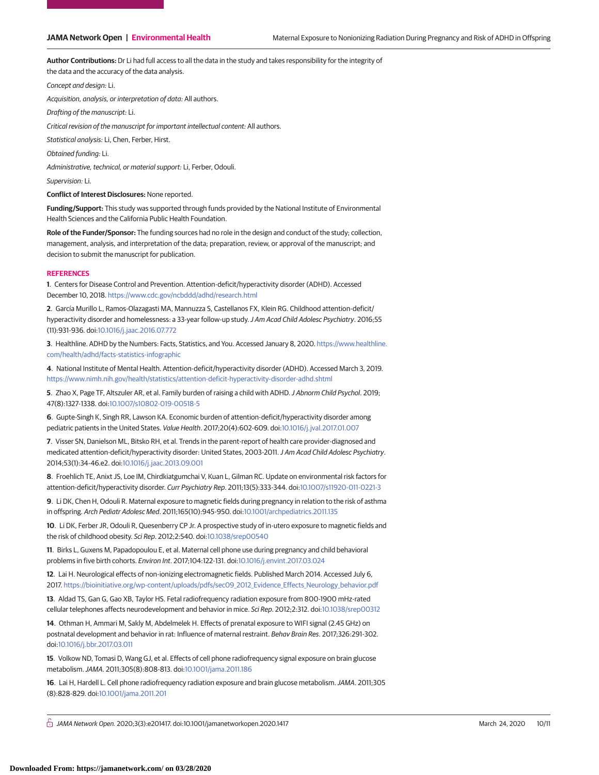**Author Contributions:** Dr Li had full access to all the data in the study and takes responsibility for the integrity of the data and the accuracy of the data analysis.

Concept and design: Li.

Acquisition, analysis, or interpretation of data: All authors.

Drafting of the manuscript: Li.

Critical revision of the manuscript for important intellectual content: All authors.

Statistical analysis: Li, Chen, Ferber, Hirst.

Obtained funding: Li.

Administrative, technical, or material support: Li, Ferber, Odouli.

Supervision: Li.

**Conflict of Interest Disclosures:** None reported.

**Funding/Support:** This study was supported through funds provided by the National Institute of Environmental Health Sciences and the California Public Health Foundation.

**Role of the Funder/Sponsor:** The funding sources had no role in the design and conduct of the study; collection, management, analysis, and interpretation of the data; preparation, review, or approval of the manuscript; and decision to submit the manuscript for publication.

#### **REFERENCES**

**1**. Centers for Disease Control and Prevention. Attention-deficit/hyperactivity disorder (ADHD). Accessed December 10, 2018. <https://www.cdc.gov/ncbddd/adhd/research.html>

**2**. García Murillo L, Ramos-Olazagasti MA, Mannuzza S, Castellanos FX, Klein RG. Childhood attention-deficit/ hyperactivity disorder and homelessness: a 33-year follow-up study.J Am Acad Child Adolesc Psychiatry. 2016;55 (11):931-936. doi[:10.1016/j.jaac.2016.07.772](https://dx.doi.org/10.1016/j.jaac.2016.07.772)

**3**. Healthline. ADHD by the Numbers: Facts, Statistics, and You. Accessed January 8, 2020. [https://www.healthline.](https://www.healthline.com/health/adhd/facts-statistics-infographic) [com/health/adhd/facts-statistics-infographic](https://www.healthline.com/health/adhd/facts-statistics-infographic)

**4**. National Institute of Mental Health. Attention-deficit/hyperactivity disorder (ADHD). Accessed March 3, 2019. <https://www.nimh.nih.gov/health/statistics/attention-deficit-hyperactivity-disorder-adhd.shtml>

**5**. Zhao X, Page TF, Altszuler AR, et al. Family burden of raising a child with ADHD.J Abnorm Child Psychol. 2019; 47(8):1327-1338. doi[:10.1007/s10802-019-00518-5](https://dx.doi.org/10.1007/s10802-019-00518-5)

**6**. Gupte-Singh K, Singh RR, Lawson KA. Economic burden of attention-deficit/hyperactivity disorder among pediatric patients in the United States. Value Health. 2017;20(4):602-609. doi[:10.1016/j.jval.2017.01.007](https://dx.doi.org/10.1016/j.jval.2017.01.007)

**7**. Visser SN, Danielson ML, Bitsko RH, et al. Trends in the parent-report of health care provider-diagnosed and medicated attention-deficit/hyperactivity disorder: United States, 2003-2011.J Am Acad Child Adolesc Psychiatry. 2014;53(1):34-46.e2. doi[:10.1016/j.jaac.2013.09.001](https://dx.doi.org/10.1016/j.jaac.2013.09.001)

**8**. Froehlich TE, Anixt JS, Loe IM, Chirdkiatgumchai V, Kuan L, Gilman RC. Update on environmental risk factors for attention-deficit/hyperactivity disorder. Curr Psychiatry Rep. 2011;13(5):333-344. doi[:10.1007/s11920-011-0221-3](https://dx.doi.org/10.1007/s11920-011-0221-3)

**9**. Li DK, Chen H, Odouli R. Maternal exposure to magnetic fields during pregnancy in relation to the risk of asthma in offspring. Arch Pediatr Adolesc Med. 2011;165(10):945-950. doi[:10.1001/archpediatrics.2011.135](https://jama.jamanetwork.com/article.aspx?doi=10.1001/archpediatrics.2011.135&utm_campaign=articlePDF%26utm_medium=articlePDFlink%26utm_source=articlePDF%26utm_content=jamanetworkopen.2020.1417)

**10**. Li DK, Ferber JR, Odouli R, Quesenberry CP Jr. A prospective study of in-utero exposure to magnetic fields and the risk of childhood obesity. Sci Rep. 2012;2:540. doi[:10.1038/srep00540](https://dx.doi.org/10.1038/srep00540)

**11**. Birks L, Guxens M, Papadopoulou E, et al. Maternal cell phone use during pregnancy and child behavioral problems in five birth cohorts. Environ Int. 2017;104:122-131. doi[:10.1016/j.envint.2017.03.024](https://dx.doi.org/10.1016/j.envint.2017.03.024)

**12**. Lai H. Neurological effects of non-ionizing electromagnetic fields. Published March 2014. Accessed July 6, 2017. [https://bioinitiative.org/wp-content/uploads/pdfs/sec09\\_2012\\_Evidence\\_Effects\\_Neurology\\_behavior.pdf](https://bioinitiative.org/wp-content/uploads/pdfs/sec09_2012_Evidence_Effects_Neurology_behavior.pdf)

**13**. Aldad TS, Gan G, Gao XB, Taylor HS. Fetal radiofrequency radiation exposure from 800-1900 mHz-rated cellular telephones affects neurodevelopment and behavior in mice. Sci Rep. 2012;2:312. doi[:10.1038/srep00312](https://dx.doi.org/10.1038/srep00312)

**14**. Othman H, Ammari M, Sakly M, Abdelmelek H. Effects of prenatal exposure to WIFI signal (2.45 GHz) on postnatal development and behavior in rat: Influence of maternal restraint. Behav Brain Res. 2017;326:291-302. doi[:10.1016/j.bbr.2017.03.011](https://dx.doi.org/10.1016/j.bbr.2017.03.011)

**15**. Volkow ND, Tomasi D, Wang GJ, et al. Effects of cell phone radiofrequency signal exposure on brain glucose metabolism.JAMA. 2011;305(8):808-813. doi[:10.1001/jama.2011.186](https://jama.jamanetwork.com/article.aspx?doi=10.1001/jama.2011.186&utm_campaign=articlePDF%26utm_medium=articlePDFlink%26utm_source=articlePDF%26utm_content=jamanetworkopen.2020.1417)

**16**. Lai H, Hardell L. Cell phone radiofrequency radiation exposure and brain glucose metabolism.JAMA. 2011;305 (8):828-829. doi[:10.1001/jama.2011.201](https://jama.jamanetwork.com/article.aspx?doi=10.1001/jama.2011.201&utm_campaign=articlePDF%26utm_medium=articlePDFlink%26utm_source=articlePDF%26utm_content=jamanetworkopen.2020.1417)

 $\bigcap$  JAMA Network Open. 2020;3(3):e201417. doi:10.1001/jamanetworkopen.2020.1417 (Although 24, 2020 10/11 March 24, 2020 10/11